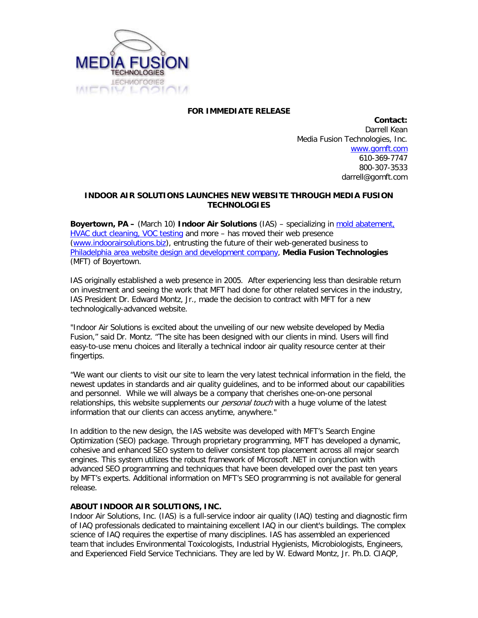

## **FOR IMMEDIATE RELEASE**

**Contact:** Darrell Kean Media Fusion Technologies, Inc. [www.gomft.com](http://www.gomft.com/) 610-369-7747 800-307-3533 darrell@gomft.com

## **INDOOR AIR SOLUTIONS LAUNCHES NEW WEBSITE THROUGH MEDIA FUSION TECHNOLOGIES**

**Boyertown, PA –** (March 10) **Indoor Air Solutions** (IAS) – specializing in [mold abatement,](http://www.indoorairsolutions.biz/)  [HVAC duct cleaning, VOC testing](http://www.indoorairsolutions.biz/) and more – has moved their web presence [\(www.indoorairsolutions.biz\)](http://www.indoorairsolutions.biz/), entrusting the future of their web-generated business to [Philadelphia area website design and development company,](http://www.gomft.com/) **Media Fusion Technologies** (MFT) of Boyertown.

IAS originally established a web presence in 2005. After experiencing less than desirable return on investment and seeing the work that MFT had done for other related services in the industry, IAS President Dr. Edward Montz, Jr., made the decision to contract with MFT for a new technologically-advanced website.

"Indoor Air Solutions is excited about the unveiling of our new website developed by Media Fusion," said Dr. Montz. "The site has been designed with our clients in mind. Users will find easy-to-use menu choices and literally a technical indoor air quality resource center at their fingertips.

"We want our clients to visit our site to learn the very latest technical information in the field, the newest updates in standards and air quality guidelines, and to be informed about our capabilities and personnel. While we will always be a company that cherishes one-on-one personal relationships, this website supplements our *personal touch* with a huge volume of the latest information that our clients can access anytime, anywhere."

In addition to the new design, the IAS website was developed with MFT's Search Engine Optimization (SEO) package. Through proprietary programming, MFT has developed a dynamic, cohesive and enhanced SEO system to deliver consistent top placement across all major search engines. This system utilizes the robust framework of Microsoft .NET in conjunction with advanced SEO programming and techniques that have been developed over the past ten years by MFT's experts. Additional information on MFT's SEO programming is not available for general release.

## **ABOUT INDOOR AIR SOLUTIONS, INC.**

Indoor Air Solutions, Inc. (IAS) is a full-service indoor air quality (IAQ) testing and diagnostic firm of IAQ professionals dedicated to maintaining excellent IAQ in our client's buildings. The complex science of IAQ requires the expertise of many disciplines. IAS has assembled an experienced team that includes Environmental Toxicologists, Industrial Hygienists, Microbiologists, Engineers, and Experienced Field Service Technicians. They are led by W. Edward Montz, Jr. Ph.D. CIAQP,